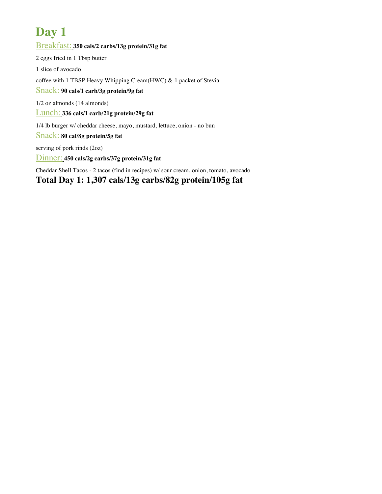Breakfast: **350 cals/2 carbs/13g protein/31g fat** 2 eggs fried in 1 Tbsp butter 1 slice of avocado coffee with 1 TBSP Heavy Whipping Cream(HWC) & 1 packet of Stevia Snack: **90 cals/1 carb/3g protein/9g fat** 1/2 oz almonds (14 almonds) Lunch: **336 cals/1 carb/21g protein/29g fat** 1/4 lb burger w/ cheddar cheese, mayo, mustard, lettuce, onion - no bun Snack: **80 cal/8g protein/5g fat** serving of pork rinds (2oz)

Dinner: **450 cals/2g carbs/37g protein/31g fat**

Cheddar Shell Tacos - 2 tacos (find in recipes) w/ sour cream, onion, tomato, avocado

**Total Day 1: 1,307 cals/13g carbs/82g protein/105g fat**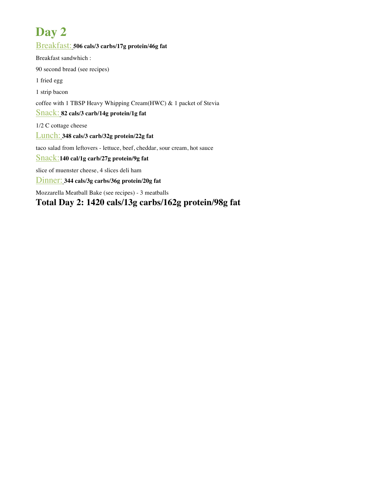Breakfast: **506 cals/3 carbs/17g protein/46g fat** Breakfast sandwhich : 90 second bread (see recipes) 1 fried egg 1 strip bacon coffee with 1 TBSP Heavy Whipping Cream(HWC) & 1 packet of Stevia Snack: **82 cals/3 carb/14g protein/1g fat** 1/2 C cottage cheese Lunch: **348 cals/3 carb/32g protein/22g fat** taco salad from leftovers - lettuce, beef, cheddar, sour cream, hot sauce Snack:**140 cal/1g carb/27g protein/9g fat** slice of muenster cheese, 4 slices deli ham Dinner: **344 cals/3g carbs/36g protein/20g fat** Mozzarella Meatball Bake (see recipes) - 3 meatballs

**Total Day 2: 1420 cals/13g carbs/162g protein/98g fat**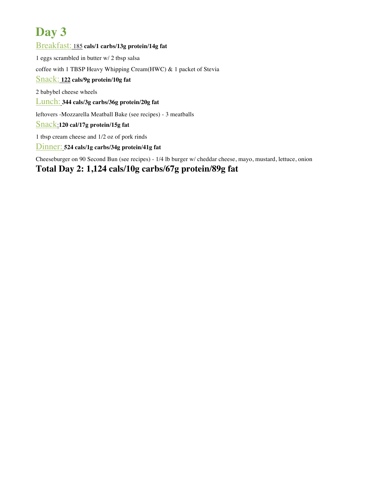Breakfast: 185 **cals/1 carbs/13g protein/14g fat** 1 eggs scrambled in butter w/ 2 tbsp salsa coffee with 1 TBSP Heavy Whipping Cream(HWC) & 1 packet of Stevia Snack: **122 cals/9g protein/10g fat** 2 babybel cheese wheels Lunch: **344 cals/3g carbs/36g protein/20g fat** leftovers -Mozzarella Meatball Bake (see recipes) - 3 meatballs Snack:**120 cal/17g protein/15g fat** 1 tbsp cream cheese and 1/2 oz of pork rinds Dinner: **524 cals/1g carbs/34g protein/41g fat**

Cheeseburger on 90 Second Bun (see recipes) - 1/4 lb burger w/ cheddar cheese, mayo, mustard, lettuce, onion

#### **Total Day 2: 1,124 cals/10g carbs/67g protein/89g fat**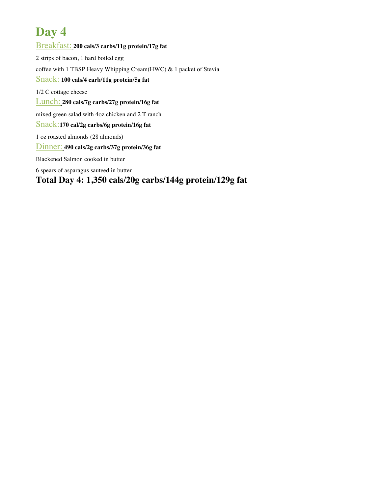Breakfast: **200 cals/3 carbs/11g protein/17g fat** 2 strips of bacon, 1 hard boiled egg coffee with 1 TBSP Heavy Whipping Cream(HWC) & 1 packet of Stevia Snack: **100 cals/4 carb/11g protein/5g fat** 1/2 C cottage cheese Lunch: **280 cals/7g carbs/27g protein/16g fat** mixed green salad with 4oz chicken and 2 T ranch Snack:**170 cal/2g carbs/6g protein/16g fat** 1 oz roasted almonds (28 almonds) Dinner: **490 cals/2g carbs/37g protein/36g fat** Blackened Salmon cooked in butter 6 spears of asparagus sauteed in butter **Total Day 4: 1,350 cals/20g carbs/144g protein/129g fat**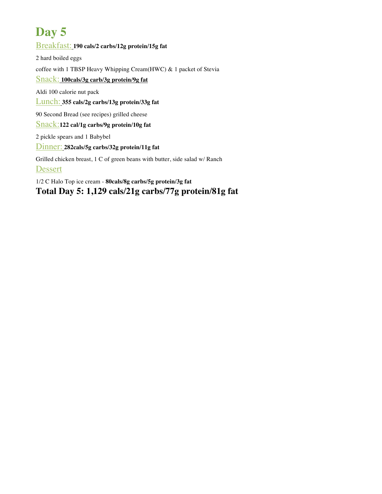#### Breakfast: **190 cals/2 carbs/12g protein/15g fat**

2 hard boiled eggs coffee with 1 TBSP Heavy Whipping Cream(HWC) & 1 packet of Stevia Snack: **100cals/3g carb/3g protein/9g fat** Aldi 100 calorie nut pack Lunch: **355 cals/2g carbs/13g protein/33g fat** 90 Second Bread (see recipes) grilled cheese Snack:**122 cal/1g carbs/9g protein/10g fat** 2 pickle spears and 1 Babybel Dinner: **282cals/5g carbs/32g protein/11g fat** Grilled chicken breast, 1 C of green beans with butter, side salad w/ Ranch Dessert

1/2 C Halo Top ice cream - **80cals/8g carbs/5g protein/3g fat Total Day 5: 1,129 cals/21g carbs/77g protein/81g fat**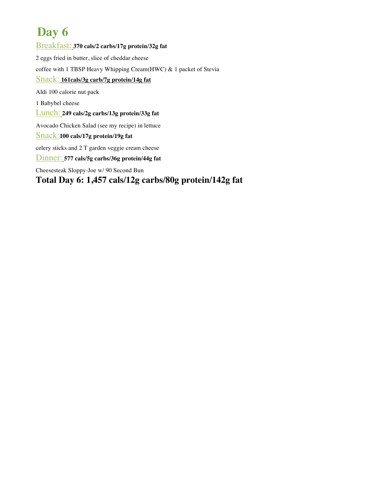Breakfast: **370 cals/2 carbs/17g protein/32g fat** 2 eggs fried in butter, slice of cheddar cheese coffee with 1 TBSP Heavy Whipping Cream(HWC) & 1 packet of Stevia Snack: **161cals/3g carb/7g protein/14g fat** Aldi 100 calorie nut pack 1 Babybel cheese Lunch: **249 cals/2g carbs/13g protein/33g fat** Avocado Chicken Salad (see my recipe) in lettuce Snack:**100 cals/17g protein/19g fat** celery sticks and 2 T garden veggie cream cheese Dinner: **577 cals/5g carbs/36g protein/44g fat** Cheesesteak Sloppy-Joe w/ 90 Second Bun

#### **Total Day 6: 1,457 cals/12g carbs/80g protein/142g fat**